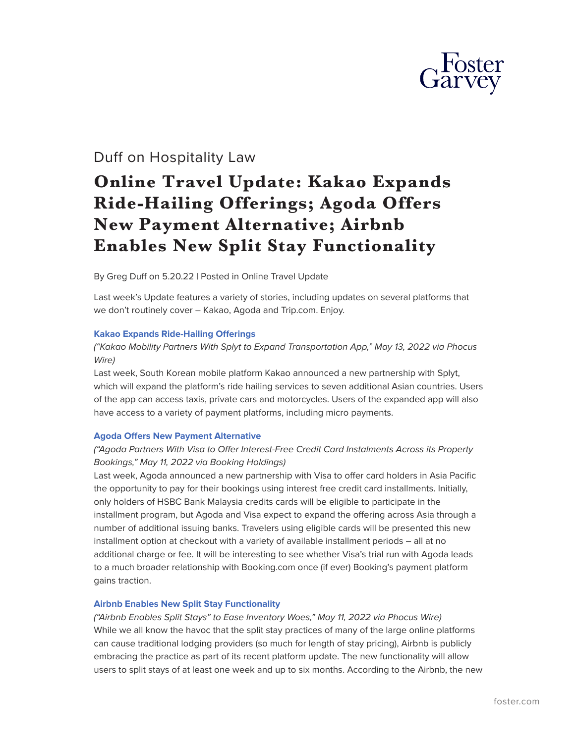

## Duff on Hospitality Law

# **Online Travel Update: Kakao Expands Ride-Hailing Offerings; Agoda Offers New Payment Alternative; Airbnb Enables New Split Stay Functionality**

By Greg Duff on 5.20.22 | Posted in Online Travel Update

Last week's Update features a variety of stories, including updates on several platforms that we don't routinely cover – Kakao, Agoda and Trip.com. Enjoy.

#### **[Kakao Expands Ride-Hailing Offerings](https://protect-us.mimecast.com/s/MpbzCzpBAYF85PQksVExcc?domain=fp.foster.com)**

#### *("Kakao Mobility Partners With Splyt to Expand Transportation App," May 13, 2022 via Phocus Wire)*

Last week, South Korean mobile platform Kakao announced a new partnership with Splyt, which will expand the platform's ride hailing services to seven additional Asian countries. Users of the app can access taxis, private cars and motorcycles. Users of the expanded app will also have access to a variety of payment platforms, including micro payments.

#### **[Agoda Offers New Payment Alternative](https://protect-us.mimecast.com/s/HP4xCDkYxWFj46NEULQYZ_?domain=fp.foster.com)**

#### *("Agoda Partners With Visa to Offer Interest-Free Credit Card Instalments Across its Property Bookings," May 11, 2022 via Booking Holdings)*

Last week, Agoda announced a new partnership with Visa to offer card holders in Asia Pacific the opportunity to pay for their bookings using interest free credit card installments. Initially, only holders of HSBC Bank Malaysia credits cards will be eligible to participate in the installment program, but Agoda and Visa expect to expand the offering across Asia through a number of additional issuing banks. Travelers using eligible cards will be presented this new installment option at checkout with a variety of available installment periods – all at no additional charge or fee. It will be interesting to see whether Visa's trial run with Agoda leads to a much broader relationship with Booking.com once (if ever) Booking's payment platform gains traction.

#### **[Airbnb Enables New Split Stay Functionality](https://protect-us.mimecast.com/s/QENBCERZyWF1EAVvcLeMtb?domain=fp.foster.com)**

*("Airbnb Enables Split Stays" to Ease Inventory Woes," May 11, 2022 via Phocus Wire)* While we all know the havoc that the split stay practices of many of the large online platforms can cause traditional lodging providers (so much for length of stay pricing), Airbnb is publicly embracing the practice as part of its recent platform update. The new functionality will allow users to split stays of at least one week and up to six months. According to the Airbnb, the new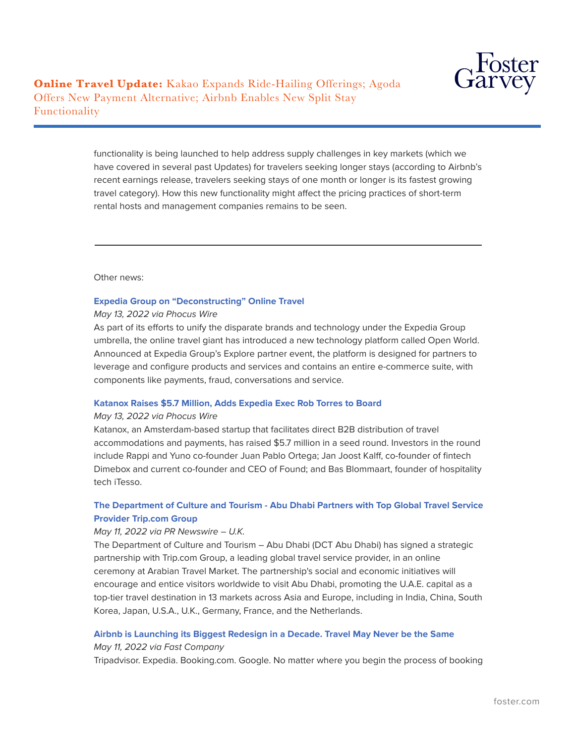

**Online Travel Update:** Kakao Expands Ride-Hailing Offerings; Agoda Offers New Payment Alternative; Airbnb Enables New Split Stay Functionality

> functionality is being launched to help address supply challenges in key markets (which we have covered in several past Updates) for travelers seeking longer stays (according to Airbnb's recent earnings release, travelers seeking stays of one month or longer is its fastest growing travel category). How this new functionality might affect the pricing practices of short-term rental hosts and management companies remains to be seen.

Other news:

 $\overline{a}$ 

#### **[Expedia Group on "Deconstructing" Online Travel](https://protect-us.mimecast.com/s/9_J2CADQrKIrkmLwTXFvOR?domain=fp.foster.com)**

#### *May 13, 2022 via Phocus Wire*

As part of its efforts to unify the disparate brands and technology under the Expedia Group umbrella, the online travel giant has introduced a new technology platform called Open World. Announced at Expedia Group's Explore partner event, the platform is designed for partners to leverage and configure products and services and contains an entire e-commerce suite, with components like payments, fraud, conversations and service.

#### **[Katanox Raises \\$5.7 Million, Adds Expedia Exec Rob Torres to Board](https://protect-us.mimecast.com/s/3iEGCBB8v9cPYZpwtP2EXA?domain=fp.foster.com)**

#### *May 13, 2022 via Phocus Wire*

Katanox, an Amsterdam-based startup that facilitates direct B2B distribution of travel accommodations and payments, has raised \$5.7 million in a seed round. Investors in the round include Rappi and Yuno co-founder Juan Pablo Ortega; Jan Joost Kalff, co-founder of fintech Dimebox and current co-founder and CEO of Found; and Bas Blommaart, founder of hospitality tech iTesso.

#### **[The Department of Culture and Tourism - Abu Dhabi Partners with Top Global Travel Service](https://protect-us.mimecast.com/s/JYBtCG6YAWcWvyKDcLPPW7?domain=fp.foster.com) [Provider Trip.com Group](https://protect-us.mimecast.com/s/JYBtCG6YAWcWvyKDcLPPW7?domain=fp.foster.com)**

#### *May 11, 2022 via PR Newswire* – *U.K.*

The Department of Culture and Tourism – Abu Dhabi (DCT Abu Dhabi) has signed a strategic partnership with Trip.com Group, a leading global travel service provider, in an online ceremony at Arabian Travel Market. The partnership's social and economic initiatives will encourage and entice visitors worldwide to visit Abu Dhabi, promoting the U.A.E. capital as a top-tier travel destination in 13 markets across Asia and Europe, including in India, China, South Korea, Japan, U.S.A., U.K., Germany, France, and the Netherlands.

### **[Airbnb is Launching its Biggest Redesign in a Decade. Travel May Never be the Same](https://protect-us.mimecast.com/s/eJ8KCJ6Y1WcpN436HWzO4N?domain=fp.foster.com)**

#### *May 11, 2022 via Fast Company*

Tripadvisor. Expedia. Booking.com. Google. No matter where you begin the process of booking